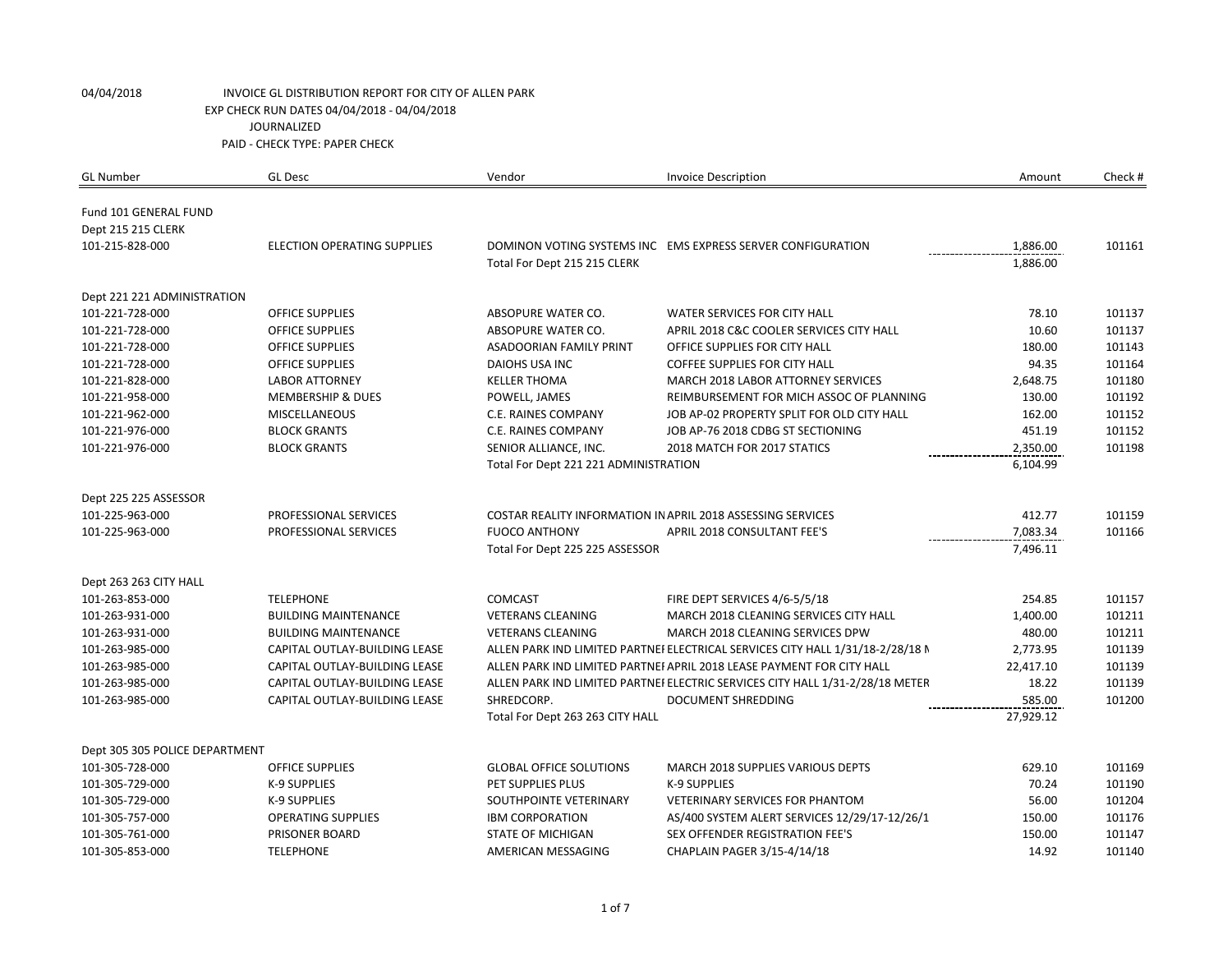| <b>GL Number</b>               | <b>GL Desc</b>                     | Vendor                                | <b>Invoice Description</b>                                                     | Amount               | Check # |
|--------------------------------|------------------------------------|---------------------------------------|--------------------------------------------------------------------------------|----------------------|---------|
|                                |                                    |                                       |                                                                                |                      |         |
| Fund 101 GENERAL FUND          |                                    |                                       |                                                                                |                      |         |
| Dept 215 215 CLERK             |                                    |                                       |                                                                                |                      |         |
| 101-215-828-000                | <b>ELECTION OPERATING SUPPLIES</b> |                                       | DOMINON VOTING SYSTEMS INC EMS EXPRESS SERVER CONFIGURATION                    | 1,886.00<br>1,886.00 | 101161  |
|                                |                                    | Total For Dept 215 215 CLERK          |                                                                                |                      |         |
| Dept 221 221 ADMINISTRATION    |                                    |                                       |                                                                                |                      |         |
| 101-221-728-000                | <b>OFFICE SUPPLIES</b>             | ABSOPURE WATER CO.                    | WATER SERVICES FOR CITY HALL                                                   | 78.10                | 101137  |
| 101-221-728-000                | <b>OFFICE SUPPLIES</b>             | ABSOPURE WATER CO.                    | APRIL 2018 C&C COOLER SERVICES CITY HALL                                       | 10.60                | 101137  |
| 101-221-728-000                | <b>OFFICE SUPPLIES</b>             | <b>ASADOORIAN FAMILY PRINT</b>        | OFFICE SUPPLIES FOR CITY HALL                                                  | 180.00               | 101143  |
| 101-221-728-000                | <b>OFFICE SUPPLIES</b>             | DAIOHS USA INC                        | <b>COFFEE SUPPLIES FOR CITY HALL</b>                                           | 94.35                | 101164  |
| 101-221-828-000                | <b>LABOR ATTORNEY</b>              | <b>KELLER THOMA</b>                   | MARCH 2018 LABOR ATTORNEY SERVICES                                             | 2,648.75             | 101180  |
| 101-221-958-000                | <b>MEMBERSHIP &amp; DUES</b>       | POWELL, JAMES                         | REIMBURSEMENT FOR MICH ASSOC OF PLANNING                                       | 130.00               | 101192  |
| 101-221-962-000                | <b>MISCELLANEOUS</b>               | C.E. RAINES COMPANY                   | JOB AP-02 PROPERTY SPLIT FOR OLD CITY HALL                                     | 162.00               | 101152  |
| 101-221-976-000                | <b>BLOCK GRANTS</b>                | C.E. RAINES COMPANY                   | JOB AP-76 2018 CDBG ST SECTIONING                                              | 451.19               | 101152  |
| 101-221-976-000                | <b>BLOCK GRANTS</b>                | SENIOR ALLIANCE, INC.                 | 2018 MATCH FOR 2017 STATICS                                                    | 2,350.00             | 101198  |
|                                |                                    | Total For Dept 221 221 ADMINISTRATION |                                                                                | 6,104.99             |         |
| Dept 225 225 ASSESSOR          |                                    |                                       |                                                                                |                      |         |
| 101-225-963-000                | PROFESSIONAL SERVICES              |                                       | <b>COSTAR REALITY INFORMATION IN APRIL 2018 ASSESSING SERVICES</b>             | 412.77               | 101159  |
| 101-225-963-000                | PROFESSIONAL SERVICES              | <b>FUOCO ANTHONY</b>                  | <b>APRIL 2018 CONSULTANT FEE'S</b>                                             | 7,083.34             | 101166  |
|                                |                                    | Total For Dept 225 225 ASSESSOR       |                                                                                | 7,496.11             |         |
|                                |                                    |                                       |                                                                                |                      |         |
| Dept 263 263 CITY HALL         |                                    |                                       |                                                                                |                      |         |
| 101-263-853-000                | <b>TELEPHONE</b>                   | <b>COMCAST</b>                        | FIRE DEPT SERVICES 4/6-5/5/18                                                  | 254.85               | 101157  |
| 101-263-931-000                | <b>BUILDING MAINTENANCE</b>        | <b>VETERANS CLEANING</b>              | MARCH 2018 CLEANING SERVICES CITY HALL                                         | 1,400.00             | 101211  |
| 101-263-931-000                | <b>BUILDING MAINTENANCE</b>        | <b>VETERANS CLEANING</b>              | MARCH 2018 CLEANING SERVICES DPW                                               | 480.00               | 101211  |
| 101-263-985-000                | CAPITAL OUTLAY-BUILDING LEASE      |                                       | ALLEN PARK IND LIMITED PARTNEI ELECTRICAL SERVICES CITY HALL 1/31/18-2/28/18 N | 2,773.95             | 101139  |
| 101-263-985-000                | CAPITAL OUTLAY-BUILDING LEASE      |                                       | ALLEN PARK IND LIMITED PARTNEI APRIL 2018 LEASE PAYMENT FOR CITY HALL          | 22,417.10            | 101139  |
| 101-263-985-000                | CAPITAL OUTLAY-BUILDING LEASE      |                                       | ALLEN PARK IND LIMITED PARTNEI ELECTRIC SERVICES CITY HALL 1/31-2/28/18 METER  | 18.22                | 101139  |
| 101-263-985-000                | CAPITAL OUTLAY-BUILDING LEASE      | SHREDCORP.                            | DOCUMENT SHREDDING                                                             | 585.00               | 101200  |
|                                |                                    | Total For Dept 263 263 CITY HALL      |                                                                                | 27,929.12            |         |
| Dept 305 305 POLICE DEPARTMENT |                                    |                                       |                                                                                |                      |         |
| 101-305-728-000                | <b>OFFICE SUPPLIES</b>             | <b>GLOBAL OFFICE SOLUTIONS</b>        | MARCH 2018 SUPPLIES VARIOUS DEPTS                                              | 629.10               | 101169  |
| 101-305-729-000                | <b>K-9 SUPPLIES</b>                | PET SUPPLIES PLUS                     | <b>K-9 SUPPLIES</b>                                                            | 70.24                | 101190  |
| 101-305-729-000                | <b>K-9 SUPPLIES</b>                | SOUTHPOINTE VETERINARY                | <b>VETERINARY SERVICES FOR PHANTOM</b>                                         | 56.00                | 101204  |
| 101-305-757-000                | <b>OPERATING SUPPLIES</b>          | <b>IBM CORPORATION</b>                | AS/400 SYSTEM ALERT SERVICES 12/29/17-12/26/1                                  | 150.00               | 101176  |
| 101-305-761-000                | PRISONER BOARD                     | <b>STATE OF MICHIGAN</b>              | SEX OFFENDER REGISTRATION FEE'S                                                | 150.00               | 101147  |
| 101-305-853-000                | <b>TELEPHONE</b>                   | AMERICAN MESSAGING                    | CHAPLAIN PAGER 3/15-4/14/18                                                    | 14.92                | 101140  |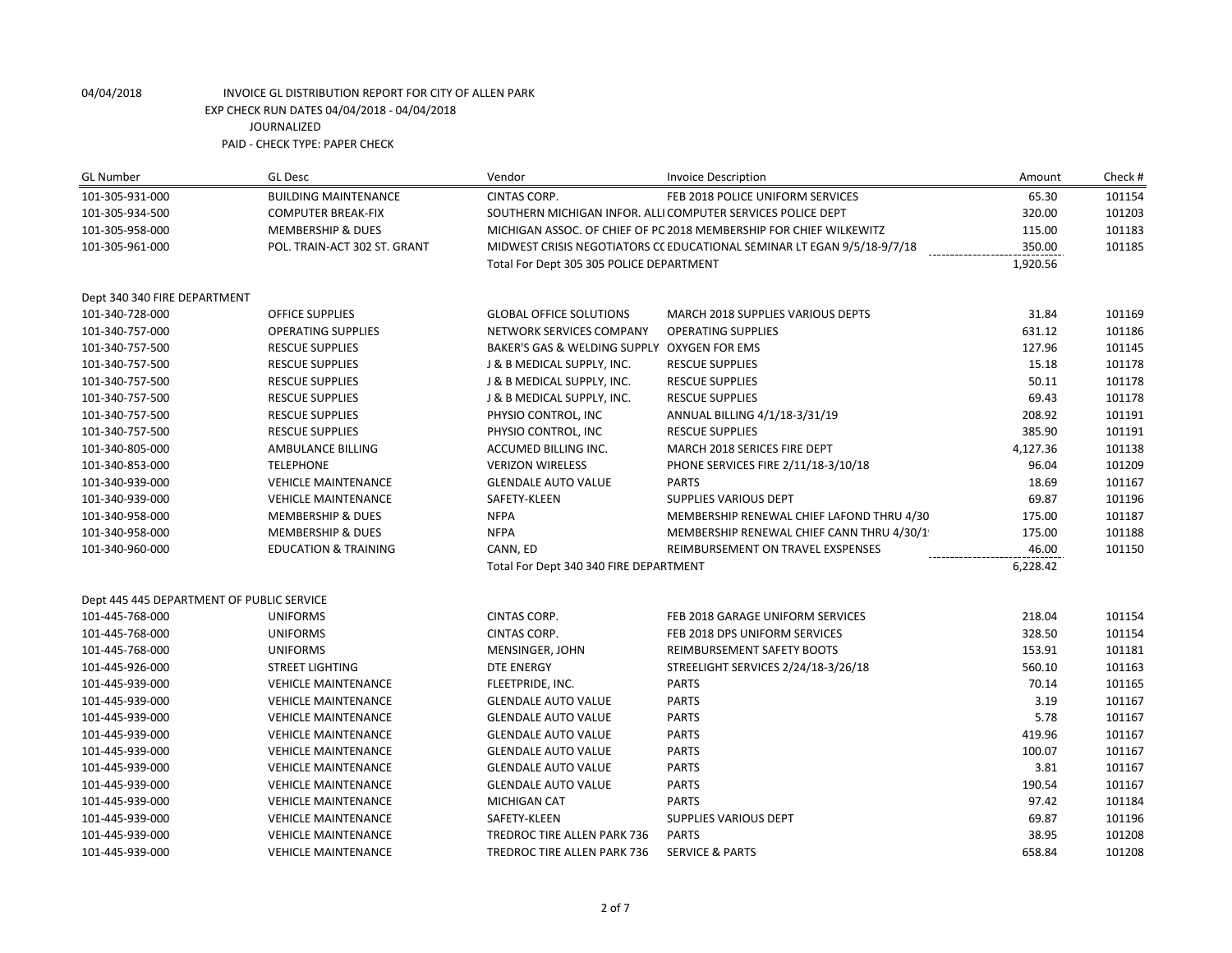| <b>GL Number</b>                                | <b>GL Desc</b>                  | Vendor                                                             | <b>Invoice Description</b>                                              | Amount   | Check # |
|-------------------------------------------------|---------------------------------|--------------------------------------------------------------------|-------------------------------------------------------------------------|----------|---------|
| 101-305-931-000                                 | <b>BUILDING MAINTENANCE</b>     | <b>CINTAS CORP.</b>                                                | FEB 2018 POLICE UNIFORM SERVICES                                        | 65.30    | 101154  |
| 101-305-934-500                                 | <b>COMPUTER BREAK-FIX</b>       | SOUTHERN MICHIGAN INFOR. ALLI COMPUTER SERVICES POLICE DEPT        |                                                                         | 320.00   | 101203  |
| 101-305-958-000                                 | <b>MEMBERSHIP &amp; DUES</b>    | MICHIGAN ASSOC. OF CHIEF OF PC 2018 MEMBERSHIP FOR CHIEF WILKEWITZ |                                                                         | 115.00   | 101183  |
| 101-305-961-000<br>POL. TRAIN-ACT 302 ST. GRANT |                                 |                                                                    | MIDWEST CRISIS NEGOTIATORS CC EDUCATIONAL SEMINAR LT EGAN 9/5/18-9/7/18 | 350.00   | 101185  |
|                                                 |                                 | Total For Dept 305 305 POLICE DEPARTMENT                           |                                                                         | 1,920.56 |         |
| Dept 340 340 FIRE DEPARTMENT                    |                                 |                                                                    |                                                                         |          |         |
| 101-340-728-000                                 | <b>OFFICE SUPPLIES</b>          | <b>GLOBAL OFFICE SOLUTIONS</b>                                     | MARCH 2018 SUPPLIES VARIOUS DEPTS                                       | 31.84    | 101169  |
| 101-340-757-000                                 | <b>OPERATING SUPPLIES</b>       | NETWORK SERVICES COMPANY                                           | <b>OPERATING SUPPLIES</b>                                               | 631.12   | 101186  |
| 101-340-757-500                                 | <b>RESCUE SUPPLIES</b>          | BAKER'S GAS & WELDING SUPPLY OXYGEN FOR EMS                        |                                                                         | 127.96   | 101145  |
| 101-340-757-500                                 | <b>RESCUE SUPPLIES</b>          | J & B MEDICAL SUPPLY, INC.                                         | <b>RESCUE SUPPLIES</b>                                                  | 15.18    | 101178  |
| 101-340-757-500                                 | <b>RESCUE SUPPLIES</b>          | J & B MEDICAL SUPPLY, INC.                                         | <b>RESCUE SUPPLIES</b>                                                  | 50.11    | 101178  |
| 101-340-757-500                                 | <b>RESCUE SUPPLIES</b>          | J & B MEDICAL SUPPLY, INC.                                         | <b>RESCUE SUPPLIES</b>                                                  | 69.43    | 101178  |
| 101-340-757-500                                 | <b>RESCUE SUPPLIES</b>          | PHYSIO CONTROL, INC                                                | ANNUAL BILLING 4/1/18-3/31/19                                           | 208.92   | 101191  |
| 101-340-757-500                                 | <b>RESCUE SUPPLIES</b>          | PHYSIO CONTROL, INC                                                | <b>RESCUE SUPPLIES</b>                                                  | 385.90   | 101191  |
| 101-340-805-000                                 | AMBULANCE BILLING               | ACCUMED BILLING INC.                                               | MARCH 2018 SERICES FIRE DEPT                                            | 4,127.36 | 101138  |
| 101-340-853-000                                 | <b>TELEPHONE</b>                | <b>VERIZON WIRELESS</b>                                            | PHONE SERVICES FIRE 2/11/18-3/10/18                                     | 96.04    | 101209  |
| 101-340-939-000                                 | <b>VEHICLE MAINTENANCE</b>      | <b>GLENDALE AUTO VALUE</b>                                         | <b>PARTS</b>                                                            | 18.69    | 101167  |
| 101-340-939-000                                 | <b>VEHICLE MAINTENANCE</b>      | SAFETY-KLEEN                                                       | SUPPLIES VARIOUS DEPT                                                   | 69.87    | 101196  |
| 101-340-958-000                                 | <b>MEMBERSHIP &amp; DUES</b>    | <b>NFPA</b>                                                        | MEMBERSHIP RENEWAL CHIEF LAFOND THRU 4/30                               | 175.00   | 101187  |
| 101-340-958-000                                 | <b>MEMBERSHIP &amp; DUES</b>    | <b>NFPA</b>                                                        | MEMBERSHIP RENEWAL CHIEF CANN THRU 4/30/1                               | 175.00   | 101188  |
| 101-340-960-000                                 | <b>EDUCATION &amp; TRAINING</b> | CANN, ED                                                           | REIMBURSEMENT ON TRAVEL EXSPENSES                                       | 46.00    | 101150  |
|                                                 |                                 | Total For Dept 340 340 FIRE DEPARTMENT                             | 6,228.42                                                                |          |         |
| Dept 445 445 DEPARTMENT OF PUBLIC SERVICE       |                                 |                                                                    |                                                                         |          |         |
| 101-445-768-000                                 | <b>UNIFORMS</b>                 | CINTAS CORP.                                                       | FEB 2018 GARAGE UNIFORM SERVICES                                        | 218.04   | 101154  |
| 101-445-768-000                                 | <b>UNIFORMS</b>                 | <b>CINTAS CORP.</b>                                                | FEB 2018 DPS UNIFORM SERVICES                                           | 328.50   | 101154  |
| 101-445-768-000                                 | <b>UNIFORMS</b>                 | MENSINGER, JOHN                                                    | REIMBURSEMENT SAFETY BOOTS                                              | 153.91   | 101181  |
| 101-445-926-000                                 | <b>STREET LIGHTING</b>          | <b>DTE ENERGY</b>                                                  | STREELIGHT SERVICES 2/24/18-3/26/18                                     | 560.10   | 101163  |
| 101-445-939-000                                 | <b>VEHICLE MAINTENANCE</b>      | FLEETPRIDE, INC.                                                   | <b>PARTS</b>                                                            | 70.14    | 101165  |
| 101-445-939-000                                 | <b>VEHICLE MAINTENANCE</b>      | <b>GLENDALE AUTO VALUE</b>                                         | <b>PARTS</b>                                                            | 3.19     | 101167  |
| 101-445-939-000                                 | <b>VEHICLE MAINTENANCE</b>      | <b>GLENDALE AUTO VALUE</b>                                         | <b>PARTS</b>                                                            | 5.78     | 101167  |
| 101-445-939-000                                 | <b>VEHICLE MAINTENANCE</b>      | <b>GLENDALE AUTO VALUE</b>                                         | <b>PARTS</b>                                                            | 419.96   | 101167  |
| 101-445-939-000                                 | <b>VEHICLE MAINTENANCE</b>      | <b>GLENDALE AUTO VALUE</b>                                         | <b>PARTS</b>                                                            | 100.07   | 101167  |
| 101-445-939-000                                 | <b>VEHICLE MAINTENANCE</b>      | <b>GLENDALE AUTO VALUE</b>                                         | <b>PARTS</b>                                                            | 3.81     | 101167  |
| 101-445-939-000                                 | <b>VEHICLE MAINTENANCE</b>      | <b>GLENDALE AUTO VALUE</b>                                         | <b>PARTS</b>                                                            | 190.54   | 101167  |
| 101-445-939-000                                 | <b>VEHICLE MAINTENANCE</b>      | MICHIGAN CAT                                                       | <b>PARTS</b>                                                            | 97.42    | 101184  |
| 101-445-939-000                                 | <b>VEHICLE MAINTENANCE</b>      | SAFETY-KLEEN                                                       | <b>SUPPLIES VARIOUS DEPT</b>                                            | 69.87    | 101196  |
| 101-445-939-000                                 | <b>VEHICLE MAINTENANCE</b>      | TREDROC TIRE ALLEN PARK 736                                        | <b>PARTS</b>                                                            | 38.95    | 101208  |
| 101-445-939-000                                 | <b>VEHICLE MAINTENANCE</b>      | TREDROC TIRE ALLEN PARK 736                                        | <b>SERVICE &amp; PARTS</b>                                              | 658.84   | 101208  |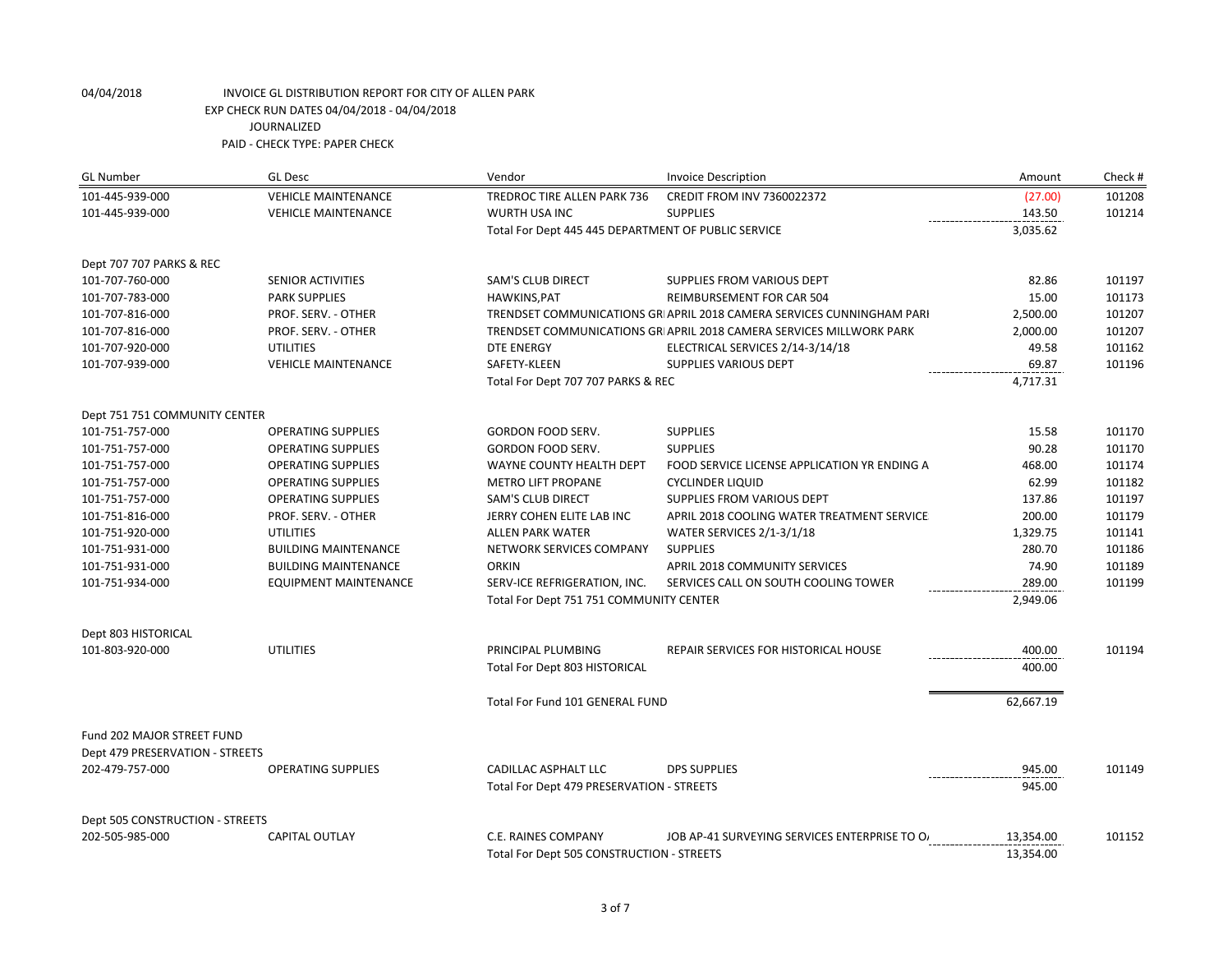| <b>GL Number</b>                | <b>GL Desc</b>               | Vendor                                              | <b>Invoice Description</b>                                             | Amount    | Check # |
|---------------------------------|------------------------------|-----------------------------------------------------|------------------------------------------------------------------------|-----------|---------|
| 101-445-939-000                 | <b>VEHICLE MAINTENANCE</b>   | TREDROC TIRE ALLEN PARK 736                         | CREDIT FROM INV 7360022372                                             | (27.00)   | 101208  |
| 101-445-939-000                 | <b>VEHICLE MAINTENANCE</b>   | <b>WURTH USA INC</b>                                | <b>SUPPLIES</b>                                                        | 143.50    | 101214  |
|                                 |                              | Total For Dept 445 445 DEPARTMENT OF PUBLIC SERVICE |                                                                        | 3,035.62  |         |
| Dept 707 707 PARKS & REC        |                              |                                                     |                                                                        |           |         |
| 101-707-760-000                 | <b>SENIOR ACTIVITIES</b>     | <b>SAM'S CLUB DIRECT</b>                            | SUPPLIES FROM VARIOUS DEPT                                             | 82.86     | 101197  |
| 101-707-783-000                 | <b>PARK SUPPLIES</b>         | HAWKINS, PAT                                        | REIMBURSEMENT FOR CAR 504                                              | 15.00     | 101173  |
| 101-707-816-000                 | PROF. SERV. - OTHER          |                                                     | TRENDSET COMMUNICATIONS GRI APRIL 2018 CAMERA SERVICES CUNNINGHAM PARI | 2,500.00  | 101207  |
| 101-707-816-000                 | PROF. SERV. - OTHER          |                                                     | TRENDSET COMMUNICATIONS GRI APRIL 2018 CAMERA SERVICES MILLWORK PARK   | 2,000.00  | 101207  |
| 101-707-920-000                 | <b>UTILITIES</b>             | <b>DTE ENERGY</b>                                   | ELECTRICAL SERVICES 2/14-3/14/18                                       | 49.58     | 101162  |
| 101-707-939-000                 | <b>VEHICLE MAINTENANCE</b>   | SAFETY-KLEEN                                        | <b>SUPPLIES VARIOUS DEPT</b>                                           | 69.87     | 101196  |
|                                 |                              | Total For Dept 707 707 PARKS & REC                  | ---------------                                                        | 4,717.31  |         |
| Dept 751 751 COMMUNITY CENTER   |                              |                                                     |                                                                        |           |         |
| 101-751-757-000                 | <b>OPERATING SUPPLIES</b>    | <b>GORDON FOOD SERV.</b>                            | <b>SUPPLIES</b>                                                        | 15.58     | 101170  |
| 101-751-757-000                 | <b>OPERATING SUPPLIES</b>    | GORDON FOOD SERV.                                   | <b>SUPPLIES</b>                                                        | 90.28     | 101170  |
| 101-751-757-000                 | <b>OPERATING SUPPLIES</b>    | WAYNE COUNTY HEALTH DEPT                            | FOOD SERVICE LICENSE APPLICATION YR ENDING A                           | 468.00    | 101174  |
| 101-751-757-000                 | <b>OPERATING SUPPLIES</b>    | <b>METRO LIFT PROPANE</b>                           | <b>CYCLINDER LIQUID</b>                                                | 62.99     | 101182  |
| 101-751-757-000                 | <b>OPERATING SUPPLIES</b>    | <b>SAM'S CLUB DIRECT</b>                            | SUPPLIES FROM VARIOUS DEPT                                             | 137.86    | 101197  |
| 101-751-816-000                 | PROF. SERV. - OTHER          | JERRY COHEN ELITE LAB INC                           | APRIL 2018 COOLING WATER TREATMENT SERVICE                             | 200.00    | 101179  |
| 101-751-920-000                 | <b>UTILITIES</b>             | <b>ALLEN PARK WATER</b>                             | WATER SERVICES 2/1-3/1/18                                              | 1,329.75  | 101141  |
| 101-751-931-000                 | <b>BUILDING MAINTENANCE</b>  | NETWORK SERVICES COMPANY                            | <b>SUPPLIES</b>                                                        | 280.70    | 101186  |
| 101-751-931-000                 | <b>BUILDING MAINTENANCE</b>  | <b>ORKIN</b>                                        | APRIL 2018 COMMUNITY SERVICES                                          | 74.90     | 101189  |
| 101-751-934-000                 | <b>EQUIPMENT MAINTENANCE</b> | SERV-ICE REFRIGERATION, INC.                        | SERVICES CALL ON SOUTH COOLING TOWER                                   | 289.00    | 101199  |
|                                 |                              | Total For Dept 751 751 COMMUNITY CENTER             |                                                                        | 2,949.06  |         |
| Dept 803 HISTORICAL             |                              |                                                     |                                                                        |           |         |
| 101-803-920-000                 | <b>UTILITIES</b>             | PRINCIPAL PLUMBING                                  | REPAIR SERVICES FOR HISTORICAL HOUSE                                   | 400.00    | 101194  |
|                                 |                              | Total For Dept 803 HISTORICAL                       |                                                                        | 400.00    |         |
|                                 |                              | Total For Fund 101 GENERAL FUND                     |                                                                        | 62,667.19 |         |
| Fund 202 MAJOR STREET FUND      |                              |                                                     |                                                                        |           |         |
| Dept 479 PRESERVATION - STREETS |                              |                                                     |                                                                        |           |         |
| 202-479-757-000                 | <b>OPERATING SUPPLIES</b>    | CADILLAC ASPHALT LLC                                | <b>DPS SUPPLIES</b>                                                    | 945.00    | 101149  |
|                                 |                              |                                                     |                                                                        |           |         |
|                                 |                              | Total For Dept 479 PRESERVATION - STREETS           |                                                                        | 945.00    |         |
| Dept 505 CONSTRUCTION - STREETS |                              |                                                     |                                                                        |           |         |
| 202-505-985-000                 | <b>CAPITAL OUTLAY</b>        | C.E. RAINES COMPANY                                 | JOB AP-41 SURVEYING SERVICES ENTERPRISE TO O                           | 13,354.00 | 101152  |
|                                 |                              | Total For Dept 505 CONSTRUCTION - STREETS           |                                                                        | 13,354.00 |         |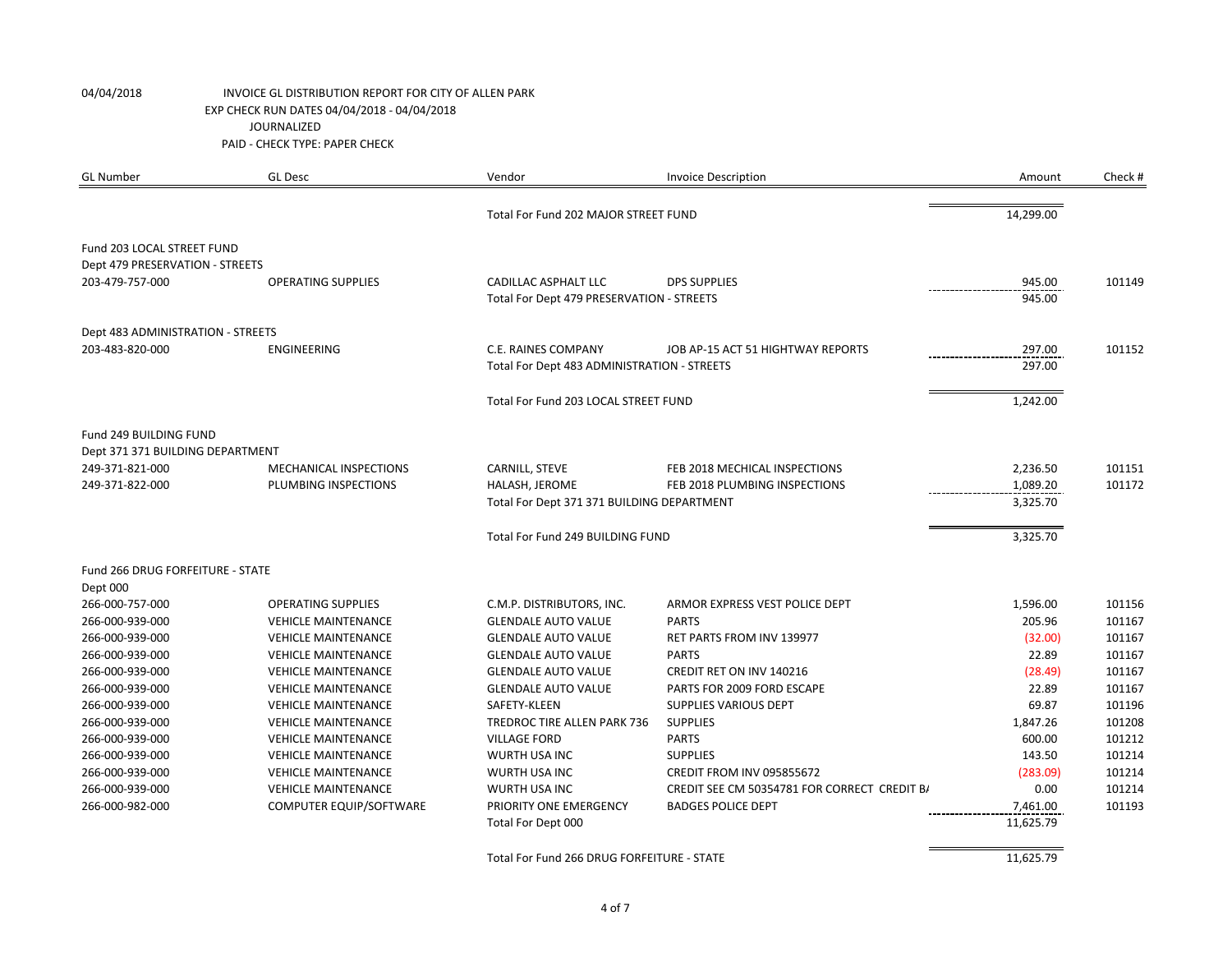| <b>GL Number</b>                  | <b>GL Desc</b>             | Vendor                                      | <b>Invoice Description</b>                   | Amount    | Check # |
|-----------------------------------|----------------------------|---------------------------------------------|----------------------------------------------|-----------|---------|
|                                   |                            | Total For Fund 202 MAJOR STREET FUND        |                                              | 14,299.00 |         |
| Fund 203 LOCAL STREET FUND        |                            |                                             |                                              |           |         |
| Dept 479 PRESERVATION - STREETS   |                            |                                             |                                              |           |         |
| 203-479-757-000                   | <b>OPERATING SUPPLIES</b>  | <b>CADILLAC ASPHALT LLC</b>                 | <b>DPS SUPPLIES</b>                          | 945.00    | 101149  |
|                                   |                            | Total For Dept 479 PRESERVATION - STREETS   |                                              | 945.00    |         |
| Dept 483 ADMINISTRATION - STREETS |                            |                                             |                                              |           |         |
| 203-483-820-000                   | <b>ENGINEERING</b>         | C.E. RAINES COMPANY                         | JOB AP-15 ACT 51 HIGHTWAY REPORTS            | 297.00    | 101152  |
|                                   |                            | Total For Dept 483 ADMINISTRATION - STREETS |                                              | 297.00    |         |
|                                   |                            | Total For Fund 203 LOCAL STREET FUND        |                                              | 1,242.00  |         |
|                                   |                            |                                             |                                              |           |         |
| Fund 249 BUILDING FUND            |                            |                                             |                                              |           |         |
| Dept 371 371 BUILDING DEPARTMENT  |                            |                                             |                                              |           |         |
| 249-371-821-000                   | MECHANICAL INSPECTIONS     | CARNILL, STEVE                              | FEB 2018 MECHICAL INSPECTIONS                | 2,236.50  | 101151  |
| 249-371-822-000                   | PLUMBING INSPECTIONS       | HALASH, JEROME                              | FEB 2018 PLUMBING INSPECTIONS                | 1,089.20  | 101172  |
|                                   |                            | Total For Dept 371 371 BUILDING DEPARTMENT  |                                              | 3,325.70  |         |
|                                   |                            | Total For Fund 249 BUILDING FUND            |                                              | 3,325.70  |         |
| Fund 266 DRUG FORFEITURE - STATE  |                            |                                             |                                              |           |         |
| Dept 000                          |                            |                                             |                                              |           |         |
| 266-000-757-000                   | <b>OPERATING SUPPLIES</b>  | C.M.P. DISTRIBUTORS, INC.                   | ARMOR EXPRESS VEST POLICE DEPT               | 1,596.00  | 101156  |
| 266-000-939-000                   | <b>VEHICLE MAINTENANCE</b> | <b>GLENDALE AUTO VALUE</b>                  | <b>PARTS</b>                                 | 205.96    | 101167  |
| 266-000-939-000                   | <b>VEHICLE MAINTENANCE</b> | <b>GLENDALE AUTO VALUE</b>                  | RET PARTS FROM INV 139977                    | (32.00)   | 101167  |
| 266-000-939-000                   | <b>VEHICLE MAINTENANCE</b> | <b>GLENDALE AUTO VALUE</b>                  | <b>PARTS</b>                                 | 22.89     | 101167  |
| 266-000-939-000                   | <b>VEHICLE MAINTENANCE</b> | <b>GLENDALE AUTO VALUE</b>                  | CREDIT RET ON INV 140216                     | (28.49)   | 101167  |
| 266-000-939-000                   | <b>VEHICLE MAINTENANCE</b> | <b>GLENDALE AUTO VALUE</b>                  | PARTS FOR 2009 FORD ESCAPE                   | 22.89     | 101167  |
| 266-000-939-000                   | <b>VEHICLE MAINTENANCE</b> | SAFETY-KLEEN                                | <b>SUPPLIES VARIOUS DEPT</b>                 | 69.87     | 101196  |
| 266-000-939-000                   | <b>VEHICLE MAINTENANCE</b> | TREDROC TIRE ALLEN PARK 736                 | <b>SUPPLIES</b>                              | 1,847.26  | 101208  |
| 266-000-939-000                   | <b>VEHICLE MAINTENANCE</b> | <b>VILLAGE FORD</b>                         | <b>PARTS</b>                                 | 600.00    | 101212  |
| 266-000-939-000                   | <b>VEHICLE MAINTENANCE</b> | WURTH USA INC                               | <b>SUPPLIES</b>                              | 143.50    | 101214  |
| 266-000-939-000                   | <b>VEHICLE MAINTENANCE</b> | WURTH USA INC                               | CREDIT FROM INV 095855672                    | (283.09)  | 101214  |
| 266-000-939-000                   | <b>VEHICLE MAINTENANCE</b> | WURTH USA INC                               | CREDIT SEE CM 50354781 FOR CORRECT CREDIT B/ | 0.00      | 101214  |
| 266-000-982-000                   | COMPUTER EQUIP/SOFTWARE    | PRIORITY ONE EMERGENCY                      | <b>BADGES POLICE DEPT</b>                    | 7,461.00  | 101193  |
|                                   |                            | Total For Dept 000                          |                                              | 11,625.79 |         |
|                                   |                            | Total For Fund 266 DRUG FORFEITURE - STATE  |                                              | 11,625.79 |         |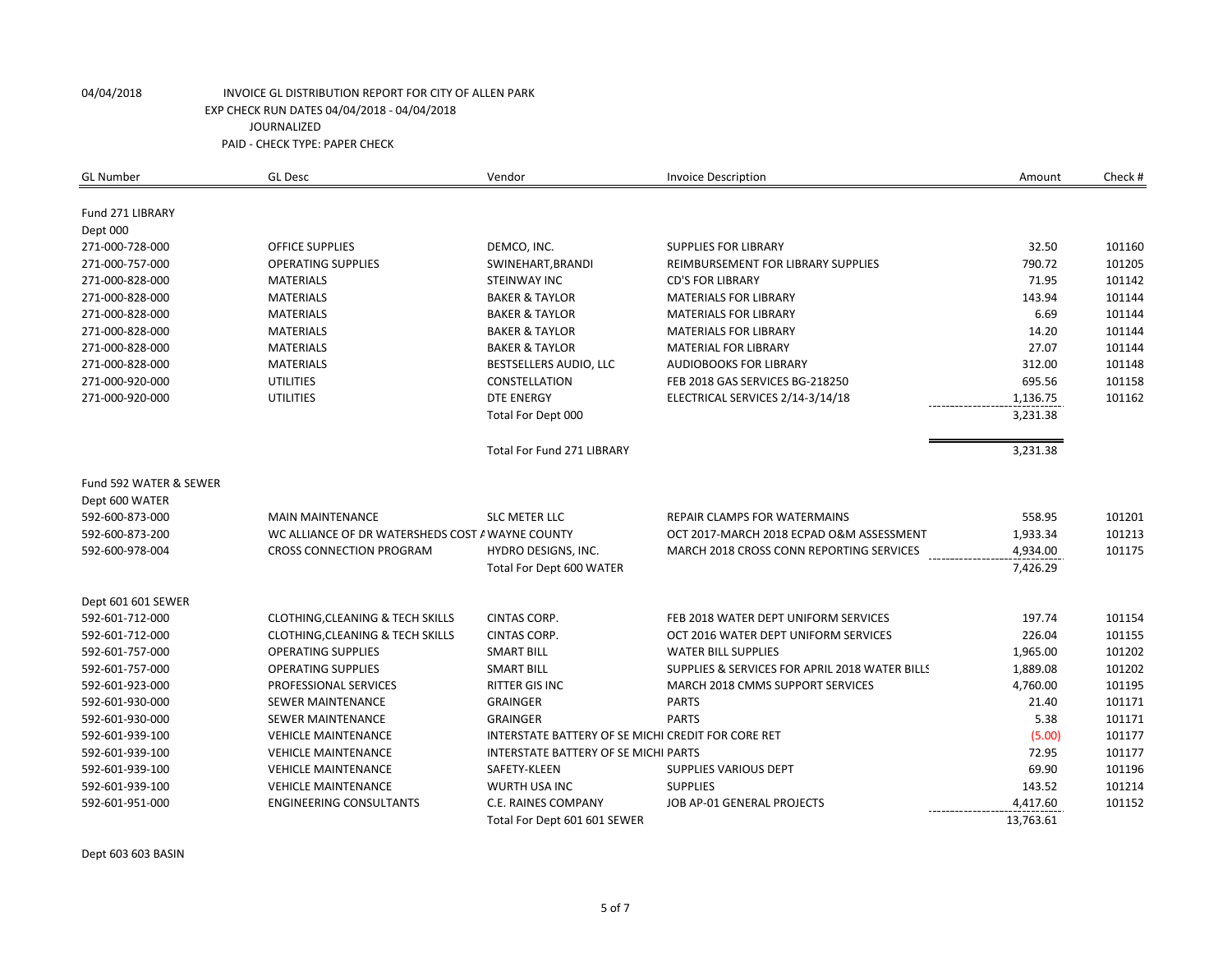| <b>GL Number</b>            | <b>GL Desc</b>                                   | Vendor                                             | <b>Invoice Description</b>                     | Amount    | Check #          |
|-----------------------------|--------------------------------------------------|----------------------------------------------------|------------------------------------------------|-----------|------------------|
|                             |                                                  |                                                    |                                                |           |                  |
| Fund 271 LIBRARY            |                                                  |                                                    |                                                |           |                  |
| Dept 000<br>271-000-728-000 |                                                  | DEMCO, INC.                                        | <b>SUPPLIES FOR LIBRARY</b>                    | 32.50     |                  |
|                             | <b>OFFICE SUPPLIES</b>                           |                                                    |                                                | 790.72    | 101160           |
| 271-000-757-000             | <b>OPERATING SUPPLIES</b>                        | SWINEHART, BRANDI                                  | REIMBURSEMENT FOR LIBRARY SUPPLIES             |           | 101205<br>101142 |
| 271-000-828-000             | <b>MATERIALS</b>                                 | <b>STEINWAY INC</b>                                | <b>CD'S FOR LIBRARY</b>                        | 71.95     |                  |
| 271-000-828-000             | <b>MATERIALS</b>                                 | <b>BAKER &amp; TAYLOR</b>                          | <b>MATERIALS FOR LIBRARY</b>                   | 143.94    | 101144           |
| 271-000-828-000             | <b>MATERIALS</b>                                 | <b>BAKER &amp; TAYLOR</b>                          | <b>MATERIALS FOR LIBRARY</b>                   | 6.69      | 101144           |
| 271-000-828-000             | <b>MATERIALS</b>                                 | <b>BAKER &amp; TAYLOR</b>                          | <b>MATERIALS FOR LIBRARY</b>                   | 14.20     | 101144           |
| 271-000-828-000             | <b>MATERIALS</b>                                 | <b>BAKER &amp; TAYLOR</b>                          | MATERIAL FOR LIBRARY                           | 27.07     | 101144           |
| 271-000-828-000             | <b>MATERIALS</b>                                 | BESTSELLERS AUDIO, LLC                             | <b>AUDIOBOOKS FOR LIBRARY</b>                  | 312.00    | 101148           |
| 271-000-920-000             | <b>UTILITIES</b>                                 | CONSTELLATION                                      | FEB 2018 GAS SERVICES BG-218250                | 695.56    | 101158           |
| 271-000-920-000             | <b>UTILITIES</b>                                 | <b>DTE ENERGY</b>                                  | ELECTRICAL SERVICES 2/14-3/14/18               | 1,136.75  | 101162           |
|                             |                                                  | Total For Dept 000                                 |                                                | 3,231.38  |                  |
|                             |                                                  | <b>Total For Fund 271 LIBRARY</b>                  |                                                | 3,231.38  |                  |
| Fund 592 WATER & SEWER      |                                                  |                                                    |                                                |           |                  |
| Dept 600 WATER              |                                                  |                                                    |                                                |           |                  |
| 592-600-873-000             | <b>MAIN MAINTENANCE</b>                          | <b>SLC METER LLC</b>                               | <b>REPAIR CLAMPS FOR WATERMAINS</b>            | 558.95    | 101201           |
| 592-600-873-200             | WC ALLIANCE OF DR WATERSHEDS COST A WAYNE COUNTY |                                                    | OCT 2017-MARCH 2018 ECPAD O&M ASSESSMENT       | 1,933.34  | 101213           |
| 592-600-978-004             | <b>CROSS CONNECTION PROGRAM</b>                  | HYDRO DESIGNS, INC.                                | MARCH 2018 CROSS CONN REPORTING SERVICES       | 4,934.00  | 101175           |
|                             |                                                  | Total For Dept 600 WATER                           |                                                | 7,426.29  |                  |
| Dept 601 601 SEWER          |                                                  |                                                    |                                                |           |                  |
| 592-601-712-000             | <b>CLOTHING, CLEANING &amp; TECH SKILLS</b>      | CINTAS CORP.                                       | FEB 2018 WATER DEPT UNIFORM SERVICES           | 197.74    | 101154           |
| 592-601-712-000             | <b>CLOTHING, CLEANING &amp; TECH SKILLS</b>      | <b>CINTAS CORP.</b>                                | OCT 2016 WATER DEPT UNIFORM SERVICES           | 226.04    | 101155           |
| 592-601-757-000             | <b>OPERATING SUPPLIES</b>                        | <b>SMART BILL</b>                                  | <b>WATER BILL SUPPLIES</b>                     | 1,965.00  | 101202           |
| 592-601-757-000             | <b>OPERATING SUPPLIES</b>                        | <b>SMART BILL</b>                                  | SUPPLIES & SERVICES FOR APRIL 2018 WATER BILLS | 1,889.08  | 101202           |
| 592-601-923-000             | PROFESSIONAL SERVICES                            | RITTER GIS INC                                     | MARCH 2018 CMMS SUPPORT SERVICES               | 4,760.00  | 101195           |
| 592-601-930-000             | <b>SEWER MAINTENANCE</b>                         | <b>GRAINGER</b>                                    | <b>PARTS</b>                                   | 21.40     | 101171           |
| 592-601-930-000             | <b>SEWER MAINTENANCE</b>                         | <b>GRAINGER</b>                                    | <b>PARTS</b>                                   | 5.38      | 101171           |
| 592-601-939-100             | <b>VEHICLE MAINTENANCE</b>                       | INTERSTATE BATTERY OF SE MICHI CREDIT FOR CORE RET |                                                | (5.00)    | 101177           |
| 592-601-939-100             | <b>VEHICLE MAINTENANCE</b>                       | INTERSTATE BATTERY OF SE MICHI PARTS               |                                                | 72.95     | 101177           |
| 592-601-939-100             | <b>VEHICLE MAINTENANCE</b>                       | SAFETY-KLEEN                                       | <b>SUPPLIES VARIOUS DEPT</b>                   | 69.90     | 101196           |
| 592-601-939-100             | <b>VEHICLE MAINTENANCE</b>                       | WURTH USA INC                                      | <b>SUPPLIES</b>                                | 143.52    | 101214           |
| 592-601-951-000             | <b>ENGINEERING CONSULTANTS</b>                   | C.E. RAINES COMPANY                                | JOB AP-01 GENERAL PROJECTS                     | 4,417.60  | 101152           |
|                             |                                                  | Total For Dept 601 601 SEWER                       |                                                | 13,763.61 |                  |

Dept 603 603 BASIN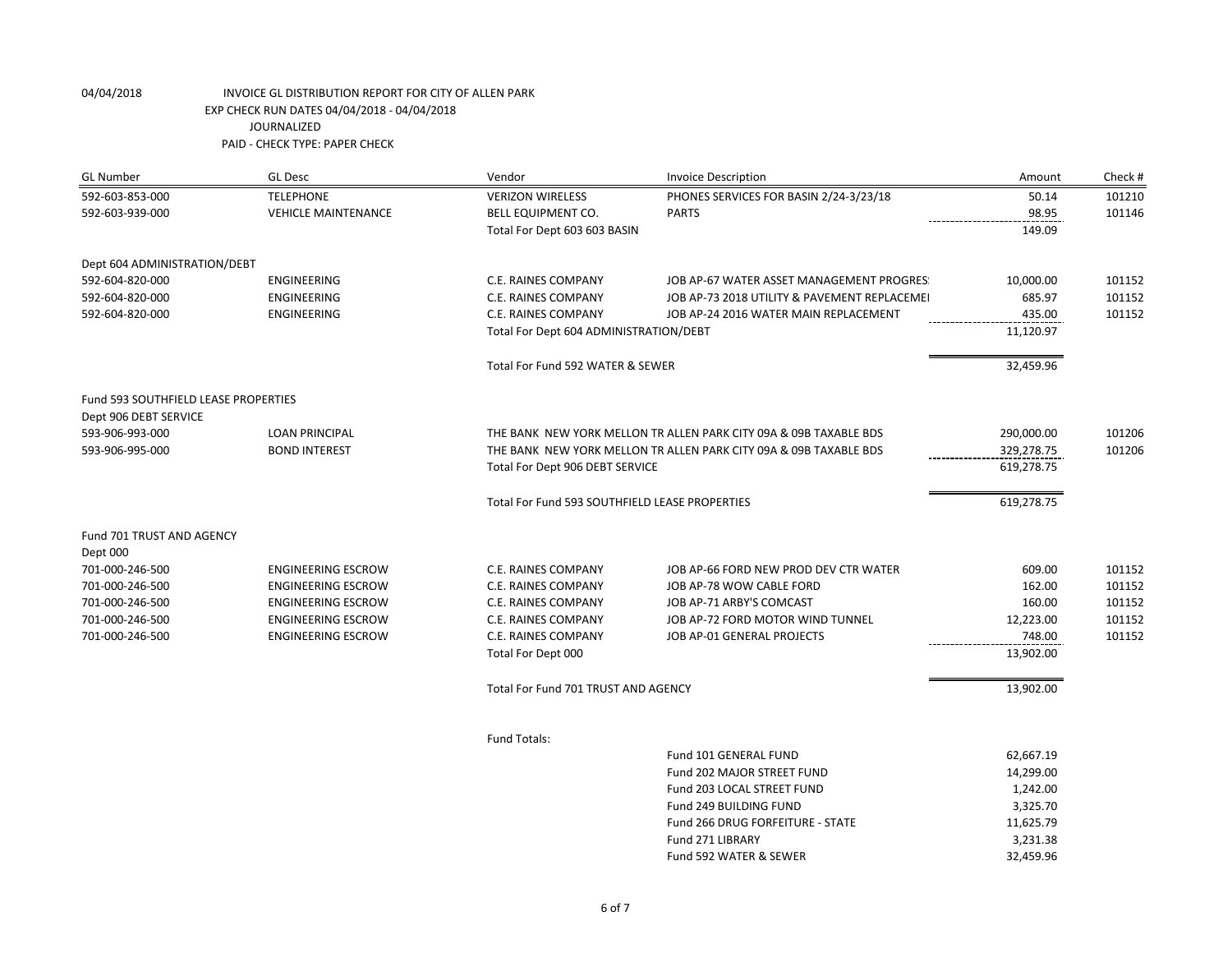| <b>GL Number</b>                     | <b>GL Desc</b>             | Vendor                                         | <b>Invoice Description</b>                                        | Amount     | Check # |
|--------------------------------------|----------------------------|------------------------------------------------|-------------------------------------------------------------------|------------|---------|
| 592-603-853-000                      | <b>TELEPHONE</b>           | <b>VERIZON WIRELESS</b>                        | PHONES SERVICES FOR BASIN 2/24-3/23/18                            | 50.14      | 101210  |
| 592-603-939-000                      | <b>VEHICLE MAINTENANCE</b> | <b>BELL EQUIPMENT CO.</b>                      | <b>PARTS</b>                                                      | 98.95      | 101146  |
|                                      |                            | Total For Dept 603 603 BASIN                   |                                                                   | 149.09     |         |
| Dept 604 ADMINISTRATION/DEBT         |                            |                                                |                                                                   |            |         |
| 592-604-820-000                      | <b>ENGINEERING</b>         | C.E. RAINES COMPANY                            | JOB AP-67 WATER ASSET MANAGEMENT PROGRES:                         | 10,000.00  | 101152  |
| 592-604-820-000                      | ENGINEERING                | C.E. RAINES COMPANY                            | JOB AP-73 2018 UTILITY & PAVEMENT REPLACEMEI                      | 685.97     | 101152  |
| 592-604-820-000                      | <b>ENGINEERING</b>         | C.E. RAINES COMPANY                            | JOB AP-24 2016 WATER MAIN REPLACEMENT                             | 435.00     | 101152  |
|                                      |                            | Total For Dept 604 ADMINISTRATION/DEBT         |                                                                   | 11,120.97  |         |
|                                      |                            | Total For Fund 592 WATER & SEWER               |                                                                   | 32,459.96  |         |
| Fund 593 SOUTHFIELD LEASE PROPERTIES |                            |                                                |                                                                   |            |         |
| Dept 906 DEBT SERVICE                |                            |                                                |                                                                   |            |         |
| 593-906-993-000                      | <b>LOAN PRINCIPAL</b>      |                                                | THE BANK NEW YORK MELLON TR ALLEN PARK CITY 09A & 09B TAXABLE BDS | 290,000.00 | 101206  |
| 593-906-995-000                      | <b>BOND INTEREST</b>       |                                                | THE BANK NEW YORK MELLON TR ALLEN PARK CITY 09A & 09B TAXABLE BDS | 329,278.75 | 101206  |
|                                      |                            | Total For Dept 906 DEBT SERVICE                |                                                                   | 619,278.75 |         |
|                                      |                            | Total For Fund 593 SOUTHFIELD LEASE PROPERTIES |                                                                   | 619,278.75 |         |
| Fund 701 TRUST AND AGENCY            |                            |                                                |                                                                   |            |         |
| Dept 000                             |                            |                                                |                                                                   |            |         |
| 701-000-246-500                      | <b>ENGINEERING ESCROW</b>  | C.E. RAINES COMPANY                            | JOB AP-66 FORD NEW PROD DEV CTR WATER                             | 609.00     | 101152  |
| 701-000-246-500                      | <b>ENGINEERING ESCROW</b>  | C.E. RAINES COMPANY                            | JOB AP-78 WOW CABLE FORD                                          | 162.00     | 101152  |
| 701-000-246-500                      | <b>ENGINEERING ESCROW</b>  | C.E. RAINES COMPANY                            | JOB AP-71 ARBY'S COMCAST                                          | 160.00     | 101152  |
| 701-000-246-500                      | <b>ENGINEERING ESCROW</b>  | C.E. RAINES COMPANY                            | JOB AP-72 FORD MOTOR WIND TUNNEL                                  | 12,223.00  | 101152  |
| 701-000-246-500                      | <b>ENGINEERING ESCROW</b>  | C.E. RAINES COMPANY                            | JOB AP-01 GENERAL PROJECTS                                        | 748.00     | 101152  |
|                                      |                            | Total For Dept 000                             |                                                                   | 13,902.00  |         |
|                                      |                            | Total For Fund 701 TRUST AND AGENCY            |                                                                   | 13,902.00  |         |
|                                      |                            | <b>Fund Totals:</b>                            |                                                                   |            |         |
|                                      |                            |                                                | Fund 101 GENERAL FUND                                             | 62,667.19  |         |
|                                      |                            |                                                | Fund 202 MAJOR STREET FUND                                        | 14,299.00  |         |
|                                      |                            |                                                | Fund 203 LOCAL STREET FUND                                        | 1,242.00   |         |
|                                      |                            |                                                | Fund 249 BUILDING FUND                                            | 3,325.70   |         |
|                                      |                            |                                                | Fund 266 DRUG FORFEITURE - STATE                                  | 11,625.79  |         |
|                                      |                            |                                                | Fund 271 LIBRARY                                                  | 3,231.38   |         |
|                                      |                            |                                                | Fund 592 WATER & SEWER                                            | 32,459.96  |         |